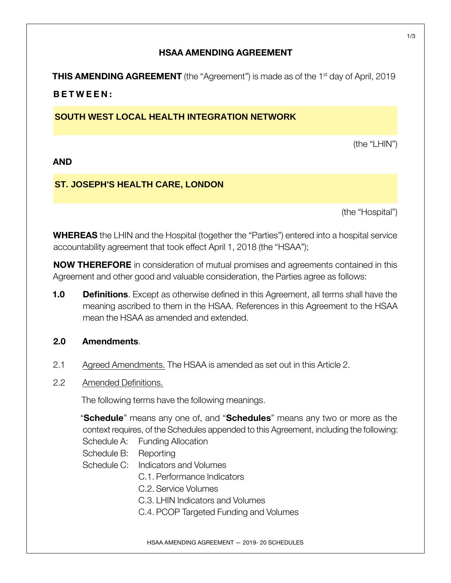## **HSAA AMENDING AGREEMENT**

**THIS AMENDING AGREEMENT** (the "Agreement") is made as of the 1<sup>st</sup> day of April, 2019 **BETWEEN:**

# **SOUTH WEST LOCAL HEALTH INTEGRATION NETWORK**

(the "LHIN")

### **AND**

# **ST. JOSEPH'S HEALTH CARE, LONDON**

(the "Hospital")

**WHEREAS** the LHIN and the Hospital (together the "Parties") entered into a hospital service accountability agreement that took effect April 1, 2018 (the "HSAA");

**NOW THEREFORE** in consideration of mutual promises and agreements contained in this Agreement and other good and valuable consideration, the Parties agree as follows:

**1.0 Definitions**. Except as otherwise defined in this Agreement, all terms shall have the meaning ascribed to them in the HSAA. References in this Agreement to the HSAA mean the HSAA as amended and extended.

### **2.0 Amendments**.

- 2.1 Agreed Amendments. The HSAA is amended as set out in this Article 2.
- 2.2 Amended Definitions.

The following terms have the following meanings.

"**Schedule**" means any one of, and "**Schedules**" means any two or more as the context requires, of the Schedules appended to this Agreement, including the following:

- Schedule A: Funding Allocation
- Schedule B: Reporting
- Schedule C: Indicators and Volumes
	- C.1. Performance Indicators
	- C.2. Service Volumes
	- C.3. LHIN Indicators and Volumes
	- C.4. PCOP Targeted Funding and Volumes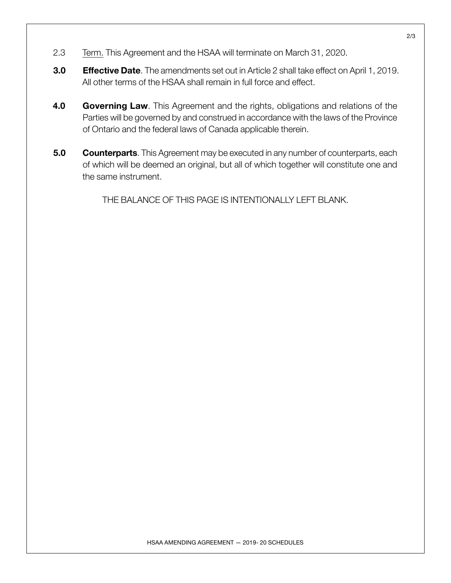- 2.3 Term. This Agreement and the HSAA will terminate on March 31, 2020.
- **3.0 Effective Date**. The amendments set out in Article 2 shall take effect on April 1, 2019. All other terms of the HSAA shall remain in full force and effect.
- **4.0 Governing Law**. This Agreement and the rights, obligations and relations of the Parties will be governed by and construed in accordance with the laws of the Province of Ontario and the federal laws of Canada applicable therein.
- **5.0 Counterparts**. This Agreement may be executed in any number of counterparts, each of which will be deemed an original, but all of which together will constitute one and the same instrument.

THE BALANCE OF THIS PAGE IS INTENTIONALLY LEFT BLANK.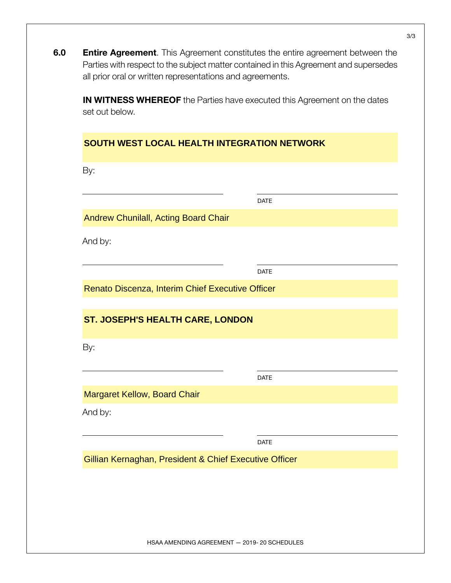**6.0 Entire Agreement**. This Agreement constitutes the entire agreement between the Parties with respect to the subject matter contained in this Agreement and supersedes all prior oral or written representations and agreements.

**IN WITNESS WHEREOF** the Parties have executed this Agreement on the dates set out below.

### **SOUTH WEST LOCAL HEALTH INTEGRATION NETWORK**

By: DATE And by: DATE By: DATE And by: DATE Andrew Chunilall, Acting Board Chair Renato Discenza, Interim Chief Executive Officer **ST. JOSEPH'S HEALTH CARE, LONDON**  Margaret Kellow, Board Chair Gillian Kernaghan, President & Chief Executive Officer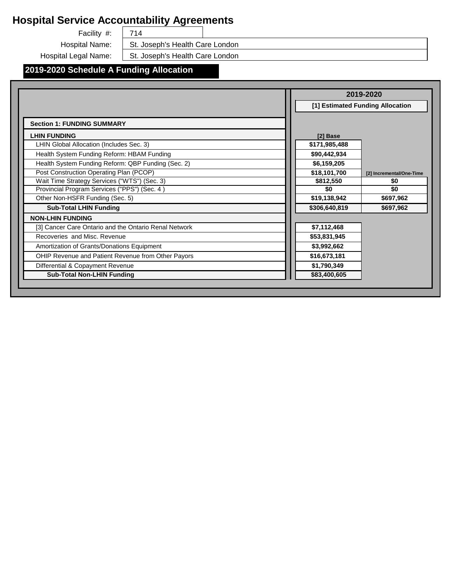Facility #: Hospital Name: 714 St. Joseph's Health Care London

Hospital Legal Name:

St. Joseph's Health Care London

# **2019-2020 Schedule A Funding Allocation**

|                                                       | 2019-2020                                |  |
|-------------------------------------------------------|------------------------------------------|--|
|                                                       | [1] Estimated Funding Allocation         |  |
| <b>Section 1: FUNDING SUMMARY</b>                     |                                          |  |
| <b>LHIN FUNDING</b>                                   | [2] Base                                 |  |
| LHIN Global Allocation (Includes Sec. 3)              | \$171,985,488                            |  |
| Health System Funding Reform: HBAM Funding            | \$90,442,934                             |  |
| Health System Funding Reform: QBP Funding (Sec. 2)    | \$6,159,205                              |  |
| Post Construction Operating Plan (PCOP)               | \$18,101,700<br>[2] Incremental/One-Time |  |
| Wait Time Strategy Services ("WTS") (Sec. 3)          | \$812,550<br>\$0                         |  |
| Provincial Program Services ("PPS") (Sec. 4)          | \$0<br>\$0                               |  |
| Other Non-HSFR Funding (Sec. 5)                       | \$19,138,942<br>\$697,962                |  |
| <b>Sub-Total LHIN Funding</b>                         | \$306,640,819<br>\$697,962               |  |
| <b>NON-LHIN FUNDING</b>                               |                                          |  |
| [3] Cancer Care Ontario and the Ontario Renal Network | \$7,112,468                              |  |
| Recoveries and Misc. Revenue                          | \$53,831,945                             |  |
| Amortization of Grants/Donations Equipment            | \$3,992,662                              |  |
| OHIP Revenue and Patient Revenue from Other Payors    | \$16,673,181                             |  |
| Differential & Copayment Revenue                      | \$1,790,349                              |  |
| <b>Sub-Total Non-LHIN Funding</b>                     | \$83,400,605                             |  |
|                                                       |                                          |  |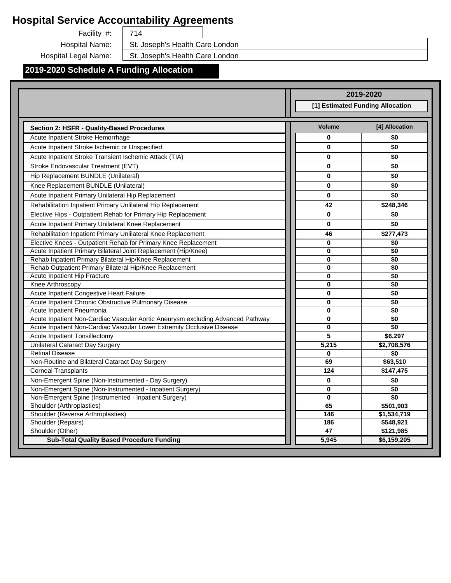Facility #:  $\begin{array}{|c|c|} \hline \end{array}$  714

Hospital Name: | St. Joseph's Health Care London

Hospital Legal Name: St. Joseph's Health Care London

## **2019-2020 Schedule A Funding Allocation**

|                                                                                                                                 |                | 2019-2020                        |
|---------------------------------------------------------------------------------------------------------------------------------|----------------|----------------------------------|
|                                                                                                                                 |                | [1] Estimated Funding Allocation |
|                                                                                                                                 |                |                                  |
| Section 2: HSFR - Quality-Based Procedures                                                                                      | <b>Volume</b>  | [4] Allocation                   |
| Acute Inpatient Stroke Hemorrhage                                                                                               | $\bf{0}$       | \$0                              |
| Acute Inpatient Stroke Ischemic or Unspecified                                                                                  | $\bf{0}$       | \$0                              |
| Acute Inpatient Stroke Transient Ischemic Attack (TIA)                                                                          | $\bf{0}$       | \$0                              |
| Stroke Endovascular Treatment (EVT)                                                                                             | 0              | \$0                              |
| Hip Replacement BUNDLE (Unilateral)                                                                                             | $\bf{0}$       | \$0                              |
| Knee Replacement BUNDLE (Unilateral)                                                                                            | $\bf{0}$       | \$0                              |
| Acute Inpatient Primary Unilateral Hip Replacement                                                                              | $\bf{0}$       | \$0                              |
| Rehabilitation Inpatient Primary Unlilateral Hip Replacement                                                                    | 42             | \$248,346                        |
| Elective Hips - Outpatient Rehab for Primary Hip Replacement                                                                    | 0              | \$0                              |
| Acute Inpatient Primary Unilateral Knee Replacement                                                                             | $\bf{0}$       | \$0                              |
|                                                                                                                                 |                |                                  |
| Rehabilitation Inpatient Primary Unlilateral Knee Replacement<br>Elective Knees - Outpatient Rehab for Primary Knee Replacement | 46<br>$\bf{0}$ | \$277,473                        |
| Acute Inpatient Primary Bilateral Joint Replacement (Hip/Knee)                                                                  | 0              | \$0<br>\$0                       |
| Rehab Inpatient Primary Bilateral Hip/Knee Replacement                                                                          | $\bf{0}$       | \$0                              |
| Rehab Outpatient Primary Bilateral Hip/Knee Replacement                                                                         | 0              | \$0                              |
| Acute Inpatient Hip Fracture                                                                                                    | 0              | \$0                              |
| Knee Arthroscopy                                                                                                                | $\bf{0}$       | \$0                              |
| Acute Inpatient Congestive Heart Failure                                                                                        | $\bf{0}$       | \$0                              |
| Acute Inpatient Chronic Obstructive Pulmonary Disease                                                                           | $\bf{0}$       | \$0                              |
| Acute Inpatient Pneumonia                                                                                                       | 0              | \$0                              |
| Acute Inpatient Non-Cardiac Vascular Aortic Aneurysm excluding Advanced Pathway                                                 | $\bf{0}$       | \$0                              |
| Acute Inpatient Non-Cardiac Vascular Lower Extremity Occlusive Disease                                                          | $\bf{0}$       | \$0                              |
| Acute Inpatient Tonsillectomy                                                                                                   | 5              | \$6,297                          |
| <b>Unilateral Cataract Day Surgery</b>                                                                                          | 5,215          | \$2,708,576                      |
| <b>Retinal Disease</b>                                                                                                          | $\bf{0}$       | \$0                              |
| Non-Routine and Bilateral Cataract Day Surgery                                                                                  | 69             | \$63,510                         |
| <b>Corneal Transplants</b>                                                                                                      | 124            | \$147,475                        |
| Non-Emergent Spine (Non-Instrumented - Day Surgery)                                                                             | $\bf{0}$       | \$0                              |
| Non-Emergent Spine (Non-Instrumented - Inpatient Surgery)                                                                       | 0              | \$0                              |
| Non-Emergent Spine (Instrumented - Inpatient Surgery)                                                                           | $\bf{0}$       | $\overline{50}$                  |
| Shoulder (Arthroplasties)                                                                                                       | 65             | \$501,903                        |
| Shoulder (Reverse Arthroplasties)                                                                                               | 146            | \$1,534,719                      |
| Shoulder (Repairs)                                                                                                              | 186            | \$548,921                        |
| Shoulder (Other)                                                                                                                | 47             | \$121,985                        |
| <b>Sub-Total Quality Based Procedure Funding</b>                                                                                | 5.945          | \$6,159,205                      |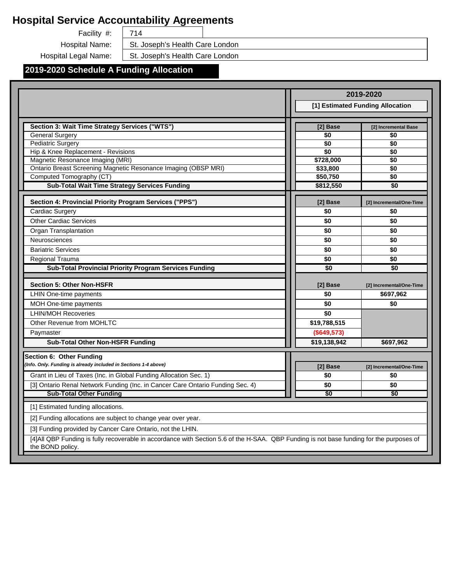Facility #:  $\begin{array}{|c|c|} \hline \end{array}$  714

Hospital Name: | St. Joseph's Health Care London

Hospital Legal Name: St. Joseph's Health Care London

### **2019-2020 Schedule A Funding Allocation**

|                                                                                                                                                               |              | 2019-2020                             |
|---------------------------------------------------------------------------------------------------------------------------------------------------------------|--------------|---------------------------------------|
|                                                                                                                                                               |              | [1] Estimated Funding Allocation      |
|                                                                                                                                                               |              |                                       |
| Section 3: Wait Time Strategy Services ("WTS")                                                                                                                | [2] Base     | [2] Incremental Base                  |
| <b>General Surgery</b>                                                                                                                                        | \$0          | \$0                                   |
| <b>Pediatric Surgery</b>                                                                                                                                      | \$0          | \$0                                   |
| Hip & Knee Replacement - Revisions                                                                                                                            | \$0          | \$0                                   |
| Magnetic Resonance Imaging (MRI)                                                                                                                              | \$728,000    | \$0                                   |
| Ontario Breast Screening Magnetic Resonance Imaging (OBSP MRI)                                                                                                | \$33,800     | \$0                                   |
| Computed Tomography (CT)                                                                                                                                      | \$50,750     | \$0                                   |
| <b>Sub-Total Wait Time Strategy Services Funding</b>                                                                                                          | \$812,550    | \$0                                   |
| Section 4: Provincial Priority Program Services ("PPS")                                                                                                       | [2] Base     | [2] Incremental/One-Time              |
| Cardiac Surgery                                                                                                                                               | \$0          | \$0                                   |
| <b>Other Cardiac Services</b>                                                                                                                                 | \$0          | \$0                                   |
| Organ Transplantation                                                                                                                                         | \$0          | \$0                                   |
| Neurosciences                                                                                                                                                 | \$0          | \$0                                   |
| <b>Bariatric Services</b>                                                                                                                                     | \$0          | \$0                                   |
| Regional Trauma                                                                                                                                               | \$0          | \$0                                   |
| Sub-Total Provincial Priority Program Services Funding                                                                                                        | \$0          | \$0                                   |
|                                                                                                                                                               |              |                                       |
| <b>Section 5: Other Non-HSFR</b>                                                                                                                              | [2] Base     | [2] Incremental/One-Time<br>\$697,962 |
| LHIN One-time payments                                                                                                                                        | \$0          |                                       |
| MOH One-time payments                                                                                                                                         | \$0          | \$0                                   |
| <b>LHIN/MOH Recoveries</b>                                                                                                                                    | \$0          |                                       |
| Other Revenue from MOHLTC                                                                                                                                     | \$19,788,515 |                                       |
| Paymaster                                                                                                                                                     | (\$649,573)  |                                       |
| <b>Sub-Total Other Non-HSFR Funding</b>                                                                                                                       | \$19,138,942 | \$697,962                             |
| Section 6: Other Funding                                                                                                                                      |              |                                       |
| (Info. Only. Funding is already included in Sections 1-4 above)                                                                                               | [2] Base     | [2] Incremental/One-Time              |
| Grant in Lieu of Taxes (Inc. in Global Funding Allocation Sec. 1)                                                                                             | \$0          | \$0                                   |
| [3] Ontario Renal Network Funding (Inc. in Cancer Care Ontario Funding Sec. 4)                                                                                | \$0          | \$0                                   |
| <b>Sub-Total Other Funding</b>                                                                                                                                | \$0          | \$0                                   |
| [1] Estimated funding allocations.                                                                                                                            |              |                                       |
| [2] Funding allocations are subject to change year over year.                                                                                                 |              |                                       |
| [3] Funding provided by Cancer Care Ontario, not the LHIN.                                                                                                    |              |                                       |
| [4] All QBP Funding is fully recoverable in accordance with Section 5.6 of the H-SAA. QBP Funding is not base funding for the purposes of<br>the BOND policy. |              |                                       |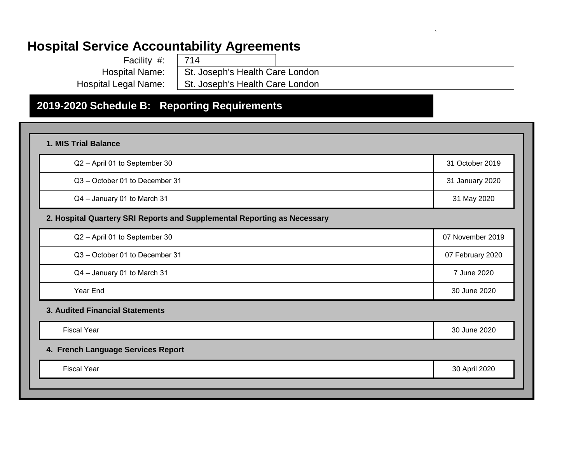| Facility #:           | 714                             |
|-----------------------|---------------------------------|
| <b>Hospital Name:</b> | St. Joseph's Health Care London |
| Hospital Legal Name:  | St. Joseph's Health Care London |

`

# **2019-2020 Schedule B: Reporting Requirements**

| Q2 - April 01 to September 30                                            | 31 October 2019  |
|--------------------------------------------------------------------------|------------------|
| Q3 - October 01 to December 31                                           | 31 January 2020  |
| Q4 - January 01 to March 31                                              | 31 May 2020      |
| 2. Hospital Quartery SRI Reports and Supplemental Reporting as Necessary |                  |
| Q2 - April 01 to September 30                                            | 07 November 2019 |
| Q3 - October 01 to December 31                                           | 07 February 2020 |
| Q4 - January 01 to March 31                                              | 7 June 2020      |
| Year End                                                                 | 30 June 2020     |
| 3. Audited Financial Statements                                          |                  |
| <b>Fiscal Year</b>                                                       | 30 June 2020     |
| 4. French Language Services Report                                       |                  |
| <b>Fiscal Year</b>                                                       | 30 April 2020    |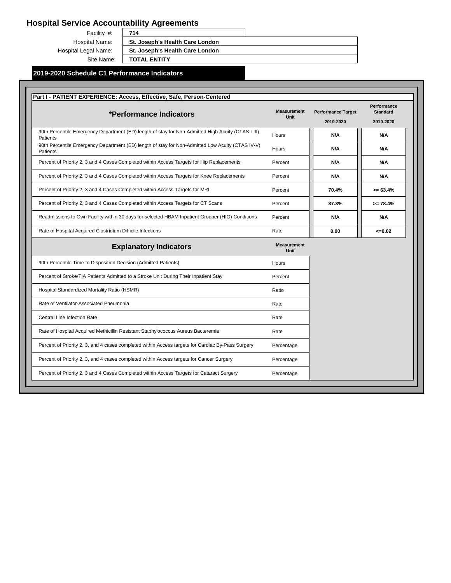Facility #: Hospital Name: Hospital Legal Name: Site Name:

**714 St. Joseph's Health Care London St. Joseph's Health Care London**

**TOTAL ENTITY**

#### **2019-2020 Schedule C1 Performance Indicators**

| *Performance Indicators                                                                                        | <b>Measurement</b><br>Unit | <b>Performance Target</b><br>2019-2020 | Performance<br><b>Standard</b><br>2019-2020 |
|----------------------------------------------------------------------------------------------------------------|----------------------------|----------------------------------------|---------------------------------------------|
| 90th Percentile Emergency Department (ED) length of stay for Non-Admitted High Acuity (CTAS I-III)<br>Patients | Hours                      | N/A                                    | N/A                                         |
| 90th Percentile Emergency Department (ED) length of stay for Non-Admitted Low Acuity (CTAS IV-V)<br>Patients   | Hours                      | N/A                                    | N/A                                         |
| Percent of Priority 2, 3 and 4 Cases Completed within Access Targets for Hip Replacements                      | Percent                    | N/A                                    | N/A                                         |
| Percent of Priority 2, 3 and 4 Cases Completed within Access Targets for Knee Replacements                     | Percent                    | N/A                                    | N/A                                         |
| Percent of Priority 2, 3 and 4 Cases Completed within Access Targets for MRI                                   | Percent                    | 70.4%                                  | $>= 63.4%$                                  |
| Percent of Priority 2, 3 and 4 Cases Completed within Access Targets for CT Scans                              | Percent                    | 87.3%                                  | $>= 78.4%$                                  |
| Readmissions to Own Facility within 30 days for selected HBAM Inpatient Grouper (HIG) Conditions               | Percent                    | N/A                                    | N/A                                         |
| Rate of Hospital Acquired Clostridium Difficile Infections                                                     | Rate                       | 0.00                                   | $\leq 0.02$                                 |
| <b>Explanatory Indicators</b>                                                                                  | <b>Measurement</b><br>Unit |                                        |                                             |
| 90th Percentile Time to Disposition Decision (Admitted Patients)                                               | Hours                      |                                        |                                             |
| Percent of Stroke/TIA Patients Admitted to a Stroke Unit During Their Inpatient Stay                           | Percent                    |                                        |                                             |
| Hospital Standardized Mortality Ratio (HSMR)                                                                   | Ratio                      |                                        |                                             |
| Rate of Ventilator-Associated Pneumonia                                                                        | Rate                       |                                        |                                             |
| <b>Central Line Infection Rate</b>                                                                             | Rate                       |                                        |                                             |
| Rate of Hospital Acquired Methicillin Resistant Staphylococcus Aureus Bacteremia                               | Rate                       |                                        |                                             |
|                                                                                                                | Percentage                 |                                        |                                             |
| Percent of Priority 2, 3, and 4 cases completed within Access targets for Cardiac By-Pass Surgery              |                            |                                        |                                             |
| Percent of Priority 2, 3, and 4 cases completed within Access targets for Cancer Surgery                       | Percentage                 |                                        |                                             |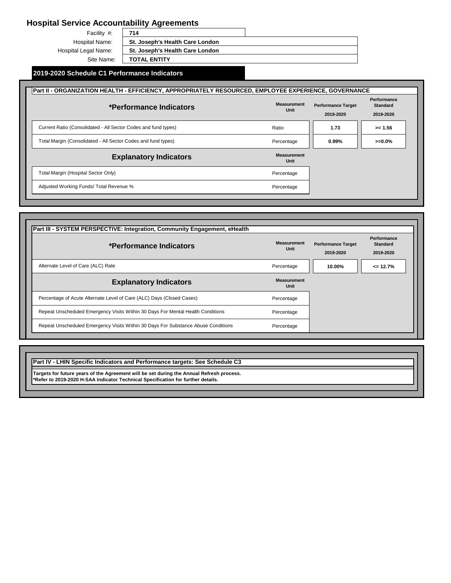Facility #: Hospital Name: Hospital Legal Name: Site Name:

**714 St. Joseph's Health Care London St. Joseph's Health Care London TOTAL ENTITY**

#### **2019-2020 Schedule C1 Performance Indicators**

| Part II - ORGANIZATION HEALTH - EFFICIENCY, APPROPRIATELY RESOURCED, EMPLOYEE EXPERIENCE, GOVERNANCE |                            |                                        |                                             |
|------------------------------------------------------------------------------------------------------|----------------------------|----------------------------------------|---------------------------------------------|
| *Performance Indicators                                                                              | <b>Measurement</b><br>Unit | <b>Performance Target</b><br>2019-2020 | Performance<br><b>Standard</b><br>2019-2020 |
| Current Ratio (Consolidated - All Sector Codes and fund types)                                       | Ratio                      | 1.73                                   | $>= 1.56$                                   |
| Total Margin (Consolidated - All Sector Codes and fund types)                                        | Percentage                 | $0.99\%$                               | $>=0.0\%$                                   |
| <b>Explanatory Indicators</b>                                                                        | <b>Measurement</b><br>Unit |                                        |                                             |
| Total Margin (Hospital Sector Only)                                                                  | Percentage                 |                                        |                                             |
| Adjusted Working Funds/ Total Revenue %                                                              | Percentage                 |                                        |                                             |

| *Performance Indicators                                                           | <b>Measurement</b><br>Unit | <b>Performance Target</b><br>2019-2020 | Performance<br><b>Standard</b><br>2019-2020 |
|-----------------------------------------------------------------------------------|----------------------------|----------------------------------------|---------------------------------------------|
| Alternate Level of Care (ALC) Rate                                                | Percentage                 | 10.00%                                 | $\leq$ 12.7%                                |
| <b>Explanatory Indicators</b>                                                     | <b>Measurement</b><br>Unit |                                        |                                             |
| Percentage of Acute Alternate Level of Care (ALC) Days (Closed Cases)             | Percentage                 |                                        |                                             |
| Repeat Unscheduled Emergency Visits Within 30 Days For Mental Health Conditions   | Percentage                 |                                        |                                             |
| Repeat Unscheduled Emergency Visits Within 30 Days For Substance Abuse Conditions | Percentage                 |                                        |                                             |

**Part IV - LHIN Specific Indicators and Performance targets: See Schedule C3**

**Targets for future years of the Agreement will be set during the Annual Refresh process. \*Refer to 2019-2020 H-SAA Indicator Technical Specification for further details.**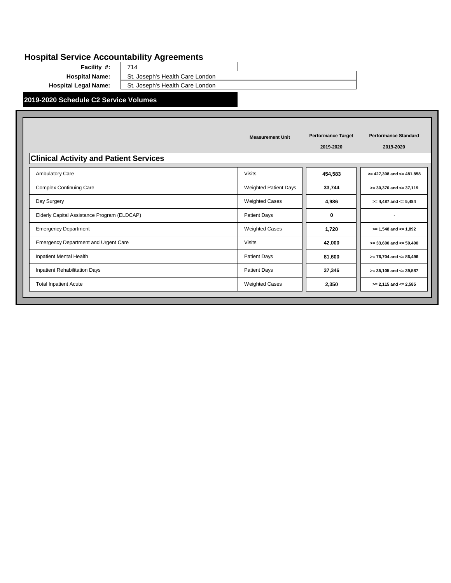**Facility #: Hospital Name:** St. Joseph's Health Care London<br>**Hospital Legal Name:** St. Joseph's Health Care London

714

St. Joseph's Health Care London

**2019-2020 Schedule C2 Service Volumes**

| <b>Clinical Activity and Patient Services</b> | <b>Measurement Unit</b>      | <b>Performance Target</b><br>2019-2020 | <b>Performance Standard</b><br>2019-2020 |
|-----------------------------------------------|------------------------------|----------------------------------------|------------------------------------------|
| Ambulatory Care                               | <b>Visits</b>                | 454,583                                | $>= 427,308$ and $<= 481,858$            |
| <b>Complex Continuing Care</b>                | <b>Weighted Patient Days</b> | 33,744                                 | $>= 30,370$ and $<= 37,119$              |
| Day Surgery                                   | <b>Weighted Cases</b>        | 4,986                                  | $>= 4,487$ and $<= 5,484$                |
| Elderly Capital Assistance Program (ELDCAP)   | Patient Days                 | 0                                      | $\overline{\phantom{a}}$                 |
| <b>Emergency Department</b>                   | <b>Weighted Cases</b>        | 1,720                                  | $>= 1,548$ and $<= 1,892$                |
| <b>Emergency Department and Urgent Care</b>   | <b>Visits</b>                | 42,000                                 | $>= 33,600$ and $<= 50,400$              |
| Inpatient Mental Health                       | Patient Days                 | 81,600                                 | $>= 76,704$ and $<= 86,496$              |
| Inpatient Rehabilitation Days                 | <b>Patient Days</b>          | 37,346                                 | $>= 35,105$ and $<= 39,587$              |
| <b>Total Inpatient Acute</b>                  | <b>Weighted Cases</b>        | 2,350                                  | $>= 2,115$ and $<= 2,585$                |